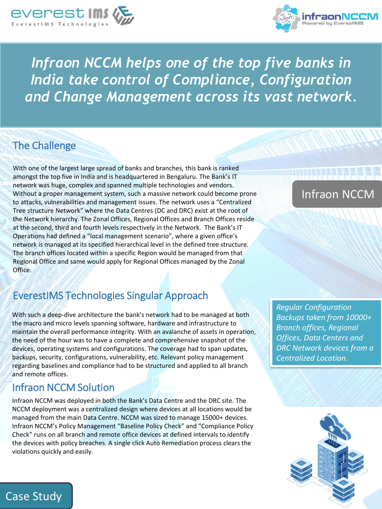



*Infraon NCCM helps one of the top five banks in India take control of Compliance, Configuration and Change Management across its vast network.*

## The Challenge

With one of the largest large spread of banks and branches, this bank is ranked amongst the top five in India and is headquartered in Bengaluru. The Bank's IT network was huge, complex and spanned multiple technologies and vendors. Without a proper management system, such a massive network could become prone to attacks, vulnerabilities and management issues. The network uses a "Centralized Tree structure Network" where the Data Centres (DC and DRC) exist at the root of the Network hierarchy. The Zonal Offices, Regional Offices and Branch Offices reside at the second, third and fourth levels respectively in the Network. The Bank's IT Operations had defined a "local management scenario", where a given office's network is managed at its specified hierarchical level in the defined tree structure. The branch offices located within a specific Region would be managed from that Regional Office and same would apply for Regional Offices managed by the Zonal Office.

## EverestIMS Technologies Singular Approach

With such a deep-dive architecture the bank's network had to be managed at both the macro and micro levels spanning software, hardware and infrastructure to maintain the overall performance integrity. With an avalanche of assets in operation, the need of the hour was to have a complete and comprehensive snapshot of the devices, operating systems and configurations. The coverage had to span updates, backups, security, configurations, vulnerability, etc. Relevant policy management regarding baselines and compliance had to be structured and applied to all branch and remote offices.

## Infraon NCCM Solution

Case Study

Infraon NCCM was deployed in both the Bank's Data Centre and the DRC site. The NCCM deployment was a centralized design where devices at all locations would be managed from the main Data Centre. NCCM was sized to manage 15000+ devices. Infraon NCCM's Policy Management "Baseline Policy Check" and "Compliance Policy Check" runs on all branch and remote office devices at defined intervals to identify the devices with policy breaches. A single click Auto Remediation process clears the violations quickly and easily.

# Infraon NCCM

*Regular Configuration Backups taken from 10000+ Branch offices, Regional Offices, Data Centers and DRC Network devices from a Centralized Location.*